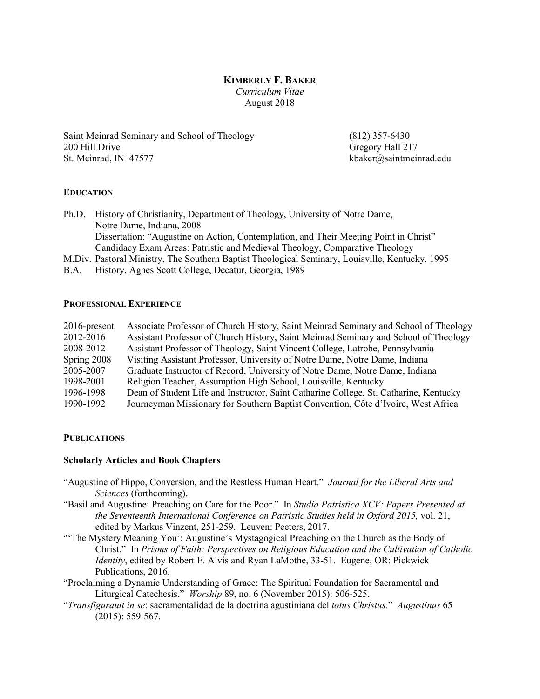# KIMBERLY F. BAKER *Curriculum Vitae* August 2018

Saint Meinrad Seminary and School of Theology (812) 357-6430 200 Hill Drive Gregory Hall 217 St. Meinrad, IN 47577 **kbaker@saintmeinrad.edu** 

# EDUCATION

Ph.D. History of Christianity, Department of Theology, University of Notre Dame, Notre Dame, Indiana, 2008 Dissertation: "Augustine on Action, Contemplation, and Their Meeting Point in Christ" Candidacy Exam Areas: Patristic and Medieval Theology, Comparative Theology

- M.Div. Pastoral Ministry, The Southern Baptist Theological Seminary, Louisville, Kentucky, 1995
- B.A. History, Agnes Scott College, Decatur, Georgia, 1989

#### PROFESSIONAL EXPERIENCE

| $2016$ -present | Associate Professor of Church History, Saint Meinrad Seminary and School of Theology  |
|-----------------|---------------------------------------------------------------------------------------|
| 2012-2016       | Assistant Professor of Church History, Saint Meinrad Seminary and School of Theology  |
| 2008-2012       | Assistant Professor of Theology, Saint Vincent College, Latrobe, Pennsylvania         |
| Spring 2008     | Visiting Assistant Professor, University of Notre Dame, Notre Dame, Indiana           |
| 2005-2007       | Graduate Instructor of Record, University of Notre Dame, Notre Dame, Indiana          |
| 1998-2001       | Religion Teacher, Assumption High School, Louisville, Kentucky                        |
| 1996-1998       | Dean of Student Life and Instructor, Saint Catharine College, St. Catharine, Kentucky |
| 1990-1992       | Journeyman Missionary for Southern Baptist Convention, Côte d'Ivoire, West Africa     |
|                 |                                                                                       |

#### **PUBLICATIONS**

#### Scholarly Articles and Book Chapters

- "Augustine of Hippo, Conversion, and the Restless Human Heart." *Journal for the Liberal Arts and Sciences* (forthcoming).
- "Basil and Augustine: Preaching on Care for the Poor." In *Studia Patristica XCV: Papers Presented at the Seventeenth International Conference on Patristic Studies held in Oxford 2015,* vol. 21, edited by Markus Vinzent, 251-259. Leuven: Peeters, 2017.
- "'The Mystery Meaning You': Augustine's Mystagogical Preaching on the Church as the Body of Christ." In *Prisms of Faith: Perspectives on Religious Education and the Cultivation of Catholic Identity*, edited by Robert E. Alvis and Ryan LaMothe, 33-51. Eugene, OR: Pickwick Publications, 2016.
- "Proclaiming a Dynamic Understanding of Grace: The Spiritual Foundation for Sacramental and Liturgical Catechesis." *Worship* 89, no. 6 (November 2015): 506-525.
- "*Transfigurauit in se*: sacramentalidad de la doctrina agustiniana del *totus Christus*." *Augustinus* 65 (2015): 559-567.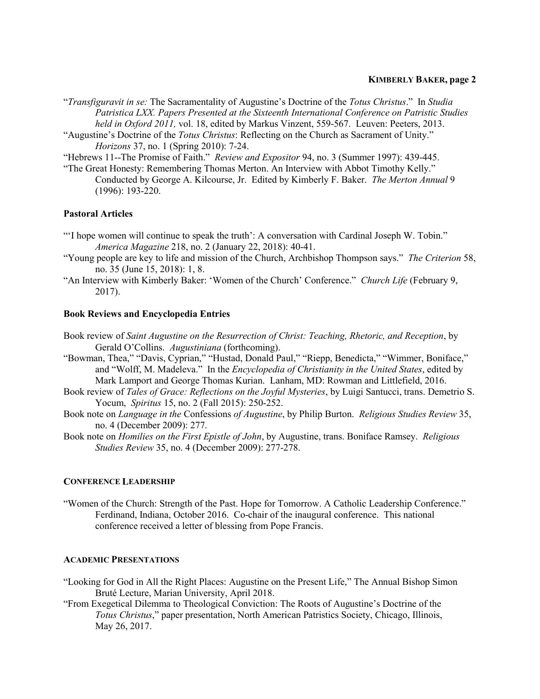# KIMBERLY BAKER, page 2

- "*Transfiguravit in se:* The Sacramentality of Augustine's Doctrine of the *Totus Christus*." In *Studia Patristica LXX. Papers Presented at the Sixteenth International Conference on Patristic Studies held in Oxford 2011,* vol. 18, edited by Markus Vinzent, 559-567. Leuven: Peeters, 2013.
- "Augustine's Doctrine of the *Totus Christus*: Reflecting on the Church as Sacrament of Unity." *Horizons* 37, no. 1 (Spring 2010): 7-24.

"Hebrews 11--The Promise of Faith." *Review and Expositor* 94, no. 3 (Summer 1997): 439-445.

"The Great Honesty: Remembering Thomas Merton. An Interview with Abbot Timothy Kelly." Conducted by George A. Kilcourse, Jr. Edited by Kimberly F. Baker. *The Merton Annual* 9 (1996): 193-220.

# Pastoral Articles

- "'I hope women will continue to speak the truth': A conversation with Cardinal Joseph W. Tobin." *America Magazine* 218, no. 2 (January 22, 2018): 40-41.
- "Young people are key to life and mission of the Church, Archbishop Thompson says." *The Criterion* 58, no. 35 (June 15, 2018): 1, 8.
- "An Interview with Kimberly Baker: 'Women of the Church' Conference." *Church Life* (February 9, 2017).

## Book Reviews and Encyclopedia Entries

Book review of *Saint Augustine on the Resurrection of Christ: Teaching, Rhetoric, and Reception*, by Gerald O'Collins. *Augustiniana* (forthcoming).

- "Bowman, Thea," "Davis, Cyprian," "Hustad, Donald Paul," "Riepp, Benedicta," "Wimmer, Boniface," and "Wolff, M. Madeleva." In the *Encyclopedia of Christianity in the United States*, edited by Mark Lamport and George Thomas Kurian. Lanham, MD: Rowman and Littlefield, 2016.
- Book review of *Tales of Grace: Reflections on the Joyful Mysteries*, by Luigi Santucci, trans. Demetrio S. Yocum, *Spiritus* 15, no. 2 (Fall 2015): 250-252.
- Book note on *Language in the* Confessions *of Augustine*, by Philip Burton. *Religious Studies Review* 35, no. 4 (December 2009): 277.
- Book note on *Homilies on the First Epistle of John*, by Augustine, trans. Boniface Ramsey. *Religious Studies Review* 35, no. 4 (December 2009): 277-278.

## CONFERENCE LEADERSHIP

"Women of the Church: Strength of the Past. Hope for Tomorrow. A Catholic Leadership Conference." Ferdinand, Indiana, October 2016. Co-chair of the inaugural conference. This national conference received a letter of blessing from Pope Francis.

## ACADEMIC PRESENTATIONS

- "Looking for God in All the Right Places: Augustine on the Present Life," The Annual Bishop Simon Bruté Lecture, Marian University, April 2018.
- "From Exegetical Dilemma to Theological Conviction: The Roots of Augustine's Doctrine of the *Totus Christus*," paper presentation, North American Patristics Society, Chicago, Illinois, May 26, 2017.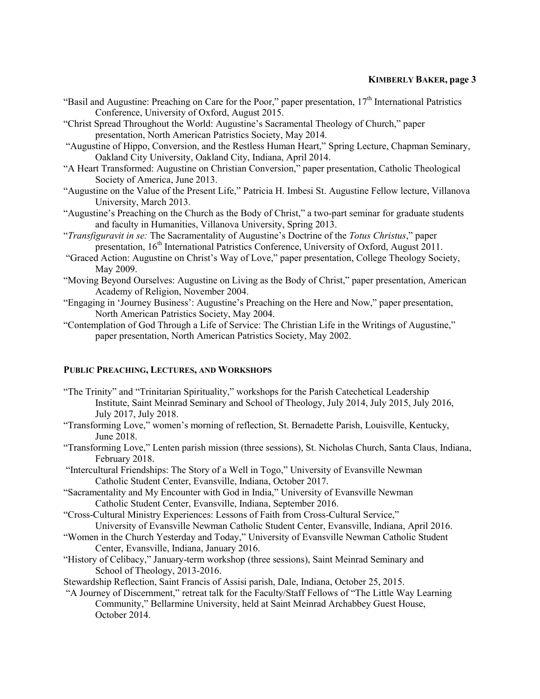# KIMBERLY BAKER, page 3

- "Basil and Augustine: Preaching on Care for the Poor," paper presentation,  $17<sup>th</sup>$  International Patristics Conference, University of Oxford, August 2015.
- "Christ Spread Throughout the World: Augustine's Sacramental Theology of Church," paper presentation, North American Patristics Society, May 2014.
- "Augustine of Hippo, Conversion, and the Restless Human Heart," Spring Lecture, Chapman Seminary, Oakland City University, Oakland City, Indiana, April 2014.
- "A Heart Transformed: Augustine on Christian Conversion," paper presentation, Catholic Theological Society of America, June 2013.
- "Augustine on the Value of the Present Life," Patricia H. Imbesi St. Augustine Fellow lecture, Villanova University, March 2013.
- "Augustine's Preaching on the Church as the Body of Christ," a two-part seminar for graduate students and faculty in Humanities, Villanova University, Spring 2013.
- "*Transfiguravit in se:* The Sacramentality of Augustine's Doctrine of the *Totus Christus*," paper presentation, 16<sup>th</sup> International Patristics Conference, University of Oxford, August 2011.
- "Graced Action: Augustine on Christ's Way of Love," paper presentation, College Theology Society, May 2009.
- "Moving Beyond Ourselves: Augustine on Living as the Body of Christ," paper presentation, American Academy of Religion, November 2004.
- "Engaging in 'Journey Business': Augustine's Preaching on the Here and Now," paper presentation, North American Patristics Society, May 2004.
- "Contemplation of God Through a Life of Service: The Christian Life in the Writings of Augustine," paper presentation, North American Patristics Society, May 2002.

# PUBLIC PREACHING, LECTURES, AND WORKSHOPS

- "The Trinity" and "Trinitarian Spirituality," workshops for the Parish Catechetical Leadership Institute, Saint Meinrad Seminary and School of Theology, July 2014, July 2015, July 2016, July 2017, July 2018.
- "Transforming Love," women's morning of reflection, St. Bernadette Parish, Louisville, Kentucky, June 2018.
- "Transforming Love," Lenten parish mission (three sessions), St. Nicholas Church, Santa Claus, Indiana, February 2018.
- "Intercultural Friendships: The Story of a Well in Togo," University of Evansville Newman Catholic Student Center, Evansville, Indiana, October 2017.
- "Sacramentality and My Encounter with God in India," University of Evansville Newman Catholic Student Center, Evansville, Indiana, September 2016.
- "Cross-Cultural Ministry Experiences: Lessons of Faith from Cross-Cultural Service," University of Evansville Newman Catholic Student Center, Evansville, Indiana, April 2016.
- "Women in the Church Yesterday and Today," University of Evansville Newman Catholic Student Center, Evansville, Indiana, January 2016.
- "History of Celibacy," January-term workshop (three sessions), Saint Meinrad Seminary and School of Theology, 2013-2016.
- Stewardship Reflection, Saint Francis of Assisi parish, Dale, Indiana, October 25, 2015.
- "A Journey of Discernment," retreat talk for the Faculty/Staff Fellows of "The Little Way Learning Community," Bellarmine University, held at Saint Meinrad Archabbey Guest House, October 2014.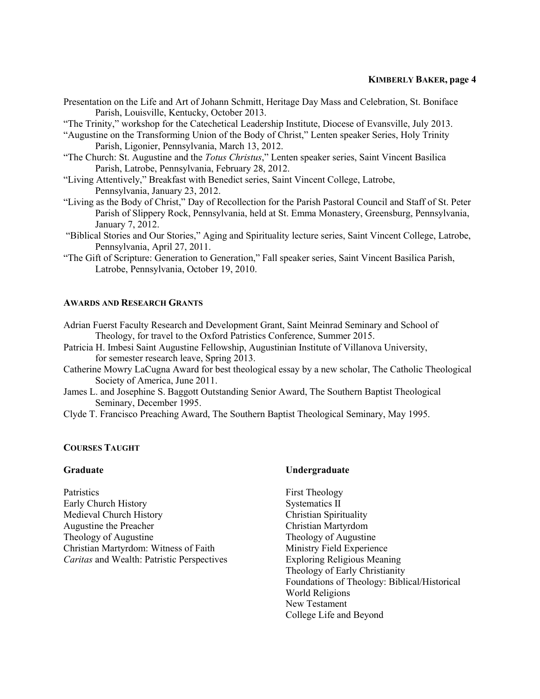# KIMBERLY BAKER, page 4

- Presentation on the Life and Art of Johann Schmitt, Heritage Day Mass and Celebration, St. Boniface Parish, Louisville, Kentucky, October 2013.
- "The Trinity," workshop for the Catechetical Leadership Institute, Diocese of Evansville, July 2013.
- "Augustine on the Transforming Union of the Body of Christ," Lenten speaker Series, Holy Trinity Parish, Ligonier, Pennsylvania, March 13, 2012.
- "The Church: St. Augustine and the *Totus Christus*," Lenten speaker series, Saint Vincent Basilica Parish, Latrobe, Pennsylvania, February 28, 2012.
- "Living Attentively," Breakfast with Benedict series, Saint Vincent College, Latrobe, Pennsylvania, January 23, 2012.
- "Living as the Body of Christ," Day of Recollection for the Parish Pastoral Council and Staff of St. Peter Parish of Slippery Rock, Pennsylvania, held at St. Emma Monastery, Greensburg, Pennsylvania, January 7, 2012.
- "Biblical Stories and Our Stories," Aging and Spirituality lecture series, Saint Vincent College, Latrobe, Pennsylvania, April 27, 2011.
- "The Gift of Scripture: Generation to Generation," Fall speaker series, Saint Vincent Basilica Parish, Latrobe, Pennsylvania, October 19, 2010.

## AWARDS AND RESEARCH GRANTS

- Adrian Fuerst Faculty Research and Development Grant, Saint Meinrad Seminary and School of Theology, for travel to the Oxford Patristics Conference, Summer 2015.
- Patricia H. Imbesi Saint Augustine Fellowship, Augustinian Institute of Villanova University, for semester research leave, Spring 2013.
- Catherine Mowry LaCugna Award for best theological essay by a new scholar, The Catholic Theological Society of America, June 2011.
- James L. and Josephine S. Baggott Outstanding Senior Award, The Southern Baptist Theological Seminary, December 1995.
- Clyde T. Francisco Preaching Award, The Southern Baptist Theological Seminary, May 1995.

# COURSES TAUGHT

## Graduate

**Patristics** Early Church History Medieval Church History Augustine the Preacher Theology of Augustine Christian Martyrdom: Witness of Faith *Caritas* and Wealth: Patristic Perspectives

## Undergraduate

First Theology Systematics II Christian Spirituality Christian Martyrdom Theology of Augustine Ministry Field Experience Exploring Religious Meaning Theology of Early Christianity Foundations of Theology: Biblical/Historical World Religions New Testament College Life and Beyond